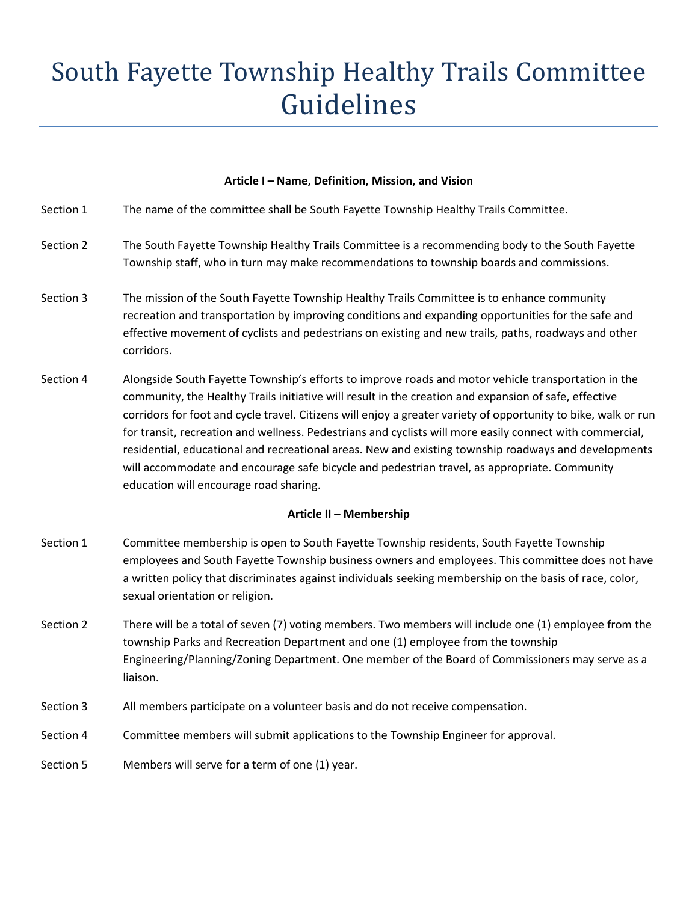# South Fayette Township Healthy Trails Committee Guidelines

## **Article I – Name, Definition, Mission, and Vision**

| Section 1               | The name of the committee shall be South Fayette Township Healthy Trails Committee.                                                                                                                                                                                                                                                                                                                                                                                                                                                                                                                                                                                                          |
|-------------------------|----------------------------------------------------------------------------------------------------------------------------------------------------------------------------------------------------------------------------------------------------------------------------------------------------------------------------------------------------------------------------------------------------------------------------------------------------------------------------------------------------------------------------------------------------------------------------------------------------------------------------------------------------------------------------------------------|
| Section 2               | The South Fayette Township Healthy Trails Committee is a recommending body to the South Fayette<br>Township staff, who in turn may make recommendations to township boards and commissions.                                                                                                                                                                                                                                                                                                                                                                                                                                                                                                  |
| Section 3               | The mission of the South Fayette Township Healthy Trails Committee is to enhance community<br>recreation and transportation by improving conditions and expanding opportunities for the safe and<br>effective movement of cyclists and pedestrians on existing and new trails, paths, roadways and other<br>corridors.                                                                                                                                                                                                                                                                                                                                                                       |
| Section 4               | Alongside South Fayette Township's efforts to improve roads and motor vehicle transportation in the<br>community, the Healthy Trails initiative will result in the creation and expansion of safe, effective<br>corridors for foot and cycle travel. Citizens will enjoy a greater variety of opportunity to bike, walk or run<br>for transit, recreation and wellness. Pedestrians and cyclists will more easily connect with commercial,<br>residential, educational and recreational areas. New and existing township roadways and developments<br>will accommodate and encourage safe bicycle and pedestrian travel, as appropriate. Community<br>education will encourage road sharing. |
| Article II - Membership |                                                                                                                                                                                                                                                                                                                                                                                                                                                                                                                                                                                                                                                                                              |
| Section 1               | Committee membership is open to South Fayette Township residents, South Fayette Township<br>employees and South Fayette Township business owners and employees. This committee does not have<br>a written policy that discriminates against individuals seeking membership on the basis of race, color,                                                                                                                                                                                                                                                                                                                                                                                      |
|                         | sexual orientation or religion.                                                                                                                                                                                                                                                                                                                                                                                                                                                                                                                                                                                                                                                              |
| Section 2               | There will be a total of seven (7) voting members. Two members will include one (1) employee from the<br>township Parks and Recreation Department and one (1) employee from the township<br>Engineering/Planning/Zoning Department. One member of the Board of Commissioners may serve as a<br>liaison.                                                                                                                                                                                                                                                                                                                                                                                      |
| Section 3               | All members participate on a volunteer basis and do not receive compensation.                                                                                                                                                                                                                                                                                                                                                                                                                                                                                                                                                                                                                |
| Section 4               | Committee members will submit applications to the Township Engineer for approval.                                                                                                                                                                                                                                                                                                                                                                                                                                                                                                                                                                                                            |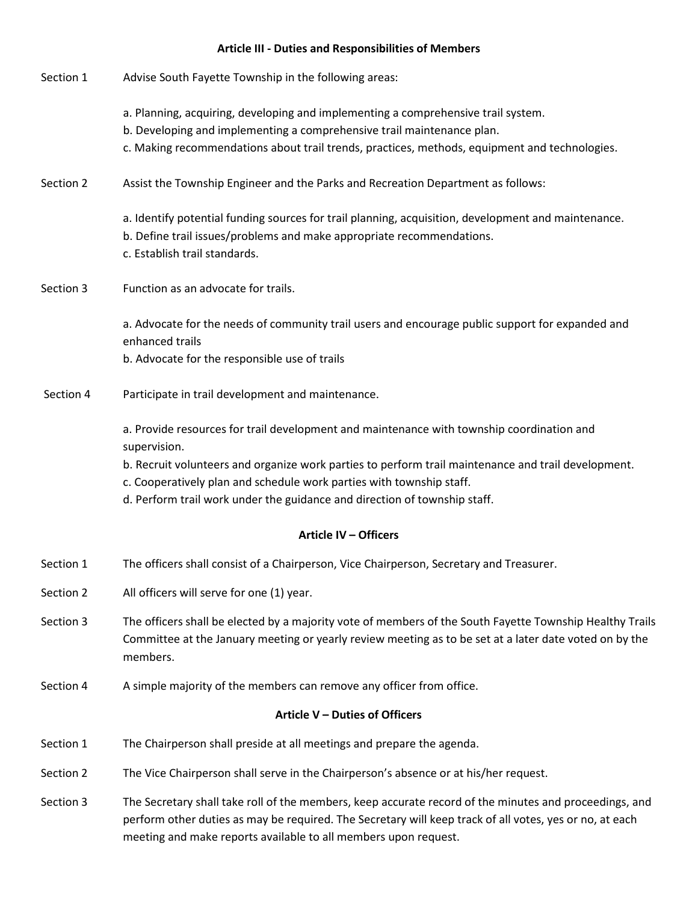# **Article III - Duties and Responsibilities of Members**

| Section 1                      | Advise South Fayette Township in the following areas:                                                                                                                                                                                                                                |
|--------------------------------|--------------------------------------------------------------------------------------------------------------------------------------------------------------------------------------------------------------------------------------------------------------------------------------|
|                                | a. Planning, acquiring, developing and implementing a comprehensive trail system.<br>b. Developing and implementing a comprehensive trail maintenance plan.<br>c. Making recommendations about trail trends, practices, methods, equipment and technologies.                         |
|                                |                                                                                                                                                                                                                                                                                      |
| Section 2                      | Assist the Township Engineer and the Parks and Recreation Department as follows:                                                                                                                                                                                                     |
|                                | a. Identify potential funding sources for trail planning, acquisition, development and maintenance.<br>b. Define trail issues/problems and make appropriate recommendations.<br>c. Establish trail standards.                                                                        |
| Section 3                      | Function as an advocate for trails.                                                                                                                                                                                                                                                  |
|                                | a. Advocate for the needs of community trail users and encourage public support for expanded and<br>enhanced trails                                                                                                                                                                  |
|                                | b. Advocate for the responsible use of trails                                                                                                                                                                                                                                        |
| Section 4                      | Participate in trail development and maintenance.                                                                                                                                                                                                                                    |
|                                | a. Provide resources for trail development and maintenance with township coordination and<br>supervision.<br>b. Recruit volunteers and organize work parties to perform trail maintenance and trail development.                                                                     |
|                                | c. Cooperatively plan and schedule work parties with township staff.                                                                                                                                                                                                                 |
|                                | d. Perform trail work under the guidance and direction of township staff.                                                                                                                                                                                                            |
|                                | <b>Article IV - Officers</b>                                                                                                                                                                                                                                                         |
| Section 1                      | The officers shall consist of a Chairperson, Vice Chairperson, Secretary and Treasurer.                                                                                                                                                                                              |
| Section 2                      | All officers will serve for one (1) year.                                                                                                                                                                                                                                            |
| Section 3                      | The officers shall be elected by a majority vote of members of the South Fayette Township Healthy Trails<br>Committee at the January meeting or yearly review meeting as to be set at a later date voted on by the<br>members.                                                       |
| Section 4                      | A simple majority of the members can remove any officer from office.                                                                                                                                                                                                                 |
| Article V - Duties of Officers |                                                                                                                                                                                                                                                                                      |
| Section 1                      | The Chairperson shall preside at all meetings and prepare the agenda.                                                                                                                                                                                                                |
| Section 2                      | The Vice Chairperson shall serve in the Chairperson's absence or at his/her request.                                                                                                                                                                                                 |
| Section 3                      | The Secretary shall take roll of the members, keep accurate record of the minutes and proceedings, and<br>perform other duties as may be required. The Secretary will keep track of all votes, yes or no, at each<br>meeting and make reports available to all members upon request. |